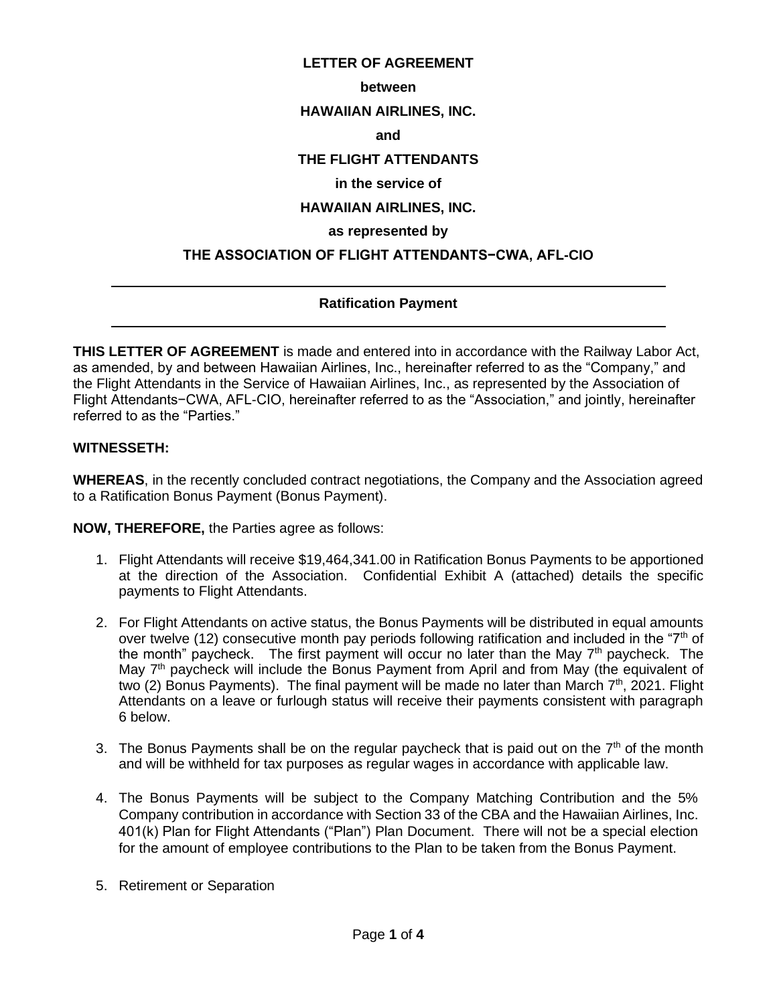## **LETTER OF AGREEMENT**

#### **between**

#### **HAWAIIAN AIRLINES, INC.**

#### **and**

# **THE FLIGHT ATTENDANTS**

# **in the service of**

# **HAWAIIAN AIRLINES, INC.**

#### **as represented by**

### **THE ASSOCIATION OF FLIGHT ATTENDANTS−CWA, AFL-CIO**

# **Ratification Payment**

**THIS LETTER OF AGREEMENT** is made and entered into in accordance with the Railway Labor Act, as amended, by and between Hawaiian Airlines, Inc., hereinafter referred to as the "Company," and the Flight Attendants in the Service of Hawaiian Airlines, Inc., as represented by the Association of Flight Attendants−CWA, AFL-CIO, hereinafter referred to as the "Association," and jointly, hereinafter referred to as the "Parties."

## **WITNESSETH:**

 $\overline{a}$ 

 $\overline{a}$ 

**WHEREAS**, in the recently concluded contract negotiations, the Company and the Association agreed to a Ratification Bonus Payment (Bonus Payment).

**NOW, THEREFORE,** the Parties agree as follows:

- 1. Flight Attendants will receive \$19,464,341.00 in Ratification Bonus Payments to be apportioned at the direction of the Association. Confidential Exhibit A (attached) details the specific payments to Flight Attendants.
- 2. For Flight Attendants on active status, the Bonus Payments will be distributed in equal amounts over twelve (12) consecutive month pay periods following ratification and included in the " $7<sup>th</sup>$  of the month" paycheck. The first payment will occur no later than the May  $7<sup>th</sup>$  paycheck. The May 7<sup>th</sup> paycheck will include the Bonus Payment from April and from May (the equivalent of two (2) Bonus Payments). The final payment will be made no later than March  $7<sup>th</sup>$ , 2021. Flight Attendants on a leave or furlough status will receive their payments consistent with paragraph 6 below.
- 3. The Bonus Payments shall be on the regular paycheck that is paid out on the  $7<sup>th</sup>$  of the month and will be withheld for tax purposes as regular wages in accordance with applicable law.
- 4. The Bonus Payments will be subject to the Company Matching Contribution and the 5% Company contribution in accordance with Section 33 of the CBA and the Hawaiian Airlines, Inc. 401(k) Plan for Flight Attendants ("Plan") Plan Document. There will not be a special election for the amount of employee contributions to the Plan to be taken from the Bonus Payment.
- 5. Retirement or Separation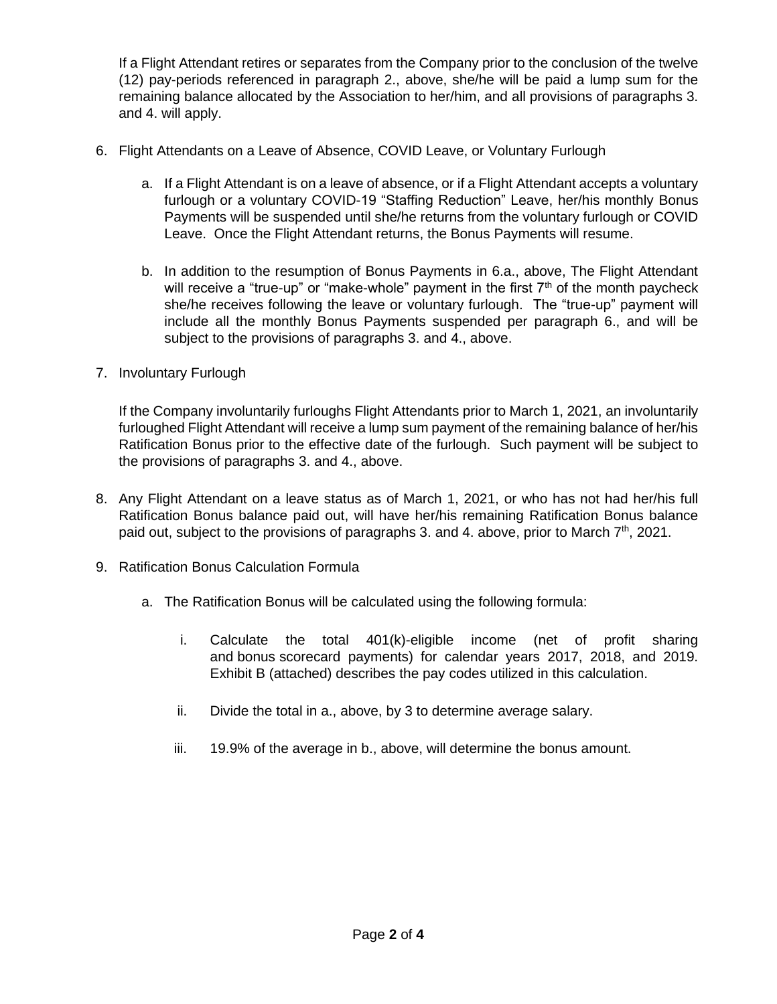If a Flight Attendant retires or separates from the Company prior to the conclusion of the twelve (12) pay-periods referenced in paragraph 2., above, she/he will be paid a lump sum for the remaining balance allocated by the Association to her/him, and all provisions of paragraphs 3. and 4. will apply.

- 6. Flight Attendants on a Leave of Absence, COVID Leave, or Voluntary Furlough
	- a. If a Flight Attendant is on a leave of absence, or if a Flight Attendant accepts a voluntary furlough or a voluntary COVID-19 "Staffing Reduction" Leave, her/his monthly Bonus Payments will be suspended until she/he returns from the voluntary furlough or COVID Leave. Once the Flight Attendant returns, the Bonus Payments will resume.
	- b. In addition to the resumption of Bonus Payments in 6.a., above, The Flight Attendant will receive a "true-up" or "make-whole" payment in the first  $7<sup>th</sup>$  of the month paycheck she/he receives following the leave or voluntary furlough. The "true-up" payment will include all the monthly Bonus Payments suspended per paragraph 6., and will be subject to the provisions of paragraphs 3. and 4., above.
- 7. Involuntary Furlough

If the Company involuntarily furloughs Flight Attendants prior to March 1, 2021, an involuntarily furloughed Flight Attendant will receive a lump sum payment of the remaining balance of her/his Ratification Bonus prior to the effective date of the furlough. Such payment will be subject to the provisions of paragraphs 3. and 4., above.

- 8. Any Flight Attendant on a leave status as of March 1, 2021, or who has not had her/his full Ratification Bonus balance paid out, will have her/his remaining Ratification Bonus balance paid out, subject to the provisions of paragraphs 3. and 4. above, prior to March  $7<sup>th</sup>$ , 2021.
- 9. Ratification Bonus Calculation Formula
	- a. The Ratification Bonus will be calculated using the following formula:
		- i. Calculate the total 401(k)-eligible income (net of profit sharing and bonus scorecard payments) for calendar years 2017, 2018, and 2019. Exhibit B (attached) describes the pay codes utilized in this calculation.
		- ii. Divide the total in a., above, by 3 to determine average salary.
		- iii. 19.9% of the average in b., above, will determine the bonus amount.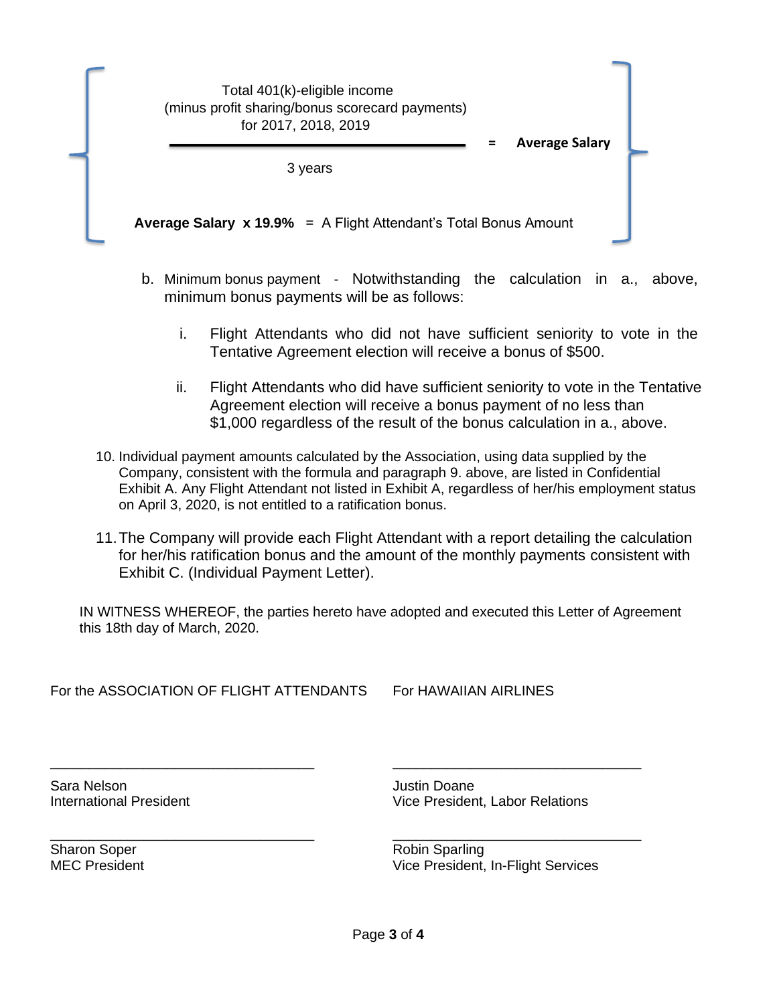| Total 401(k)-eligible income<br>(minus profit sharing/bonus scorecard payments)<br>for 2017, 2018, 2019 | <b>Average Salary</b><br>Ξ |  |
|---------------------------------------------------------------------------------------------------------|----------------------------|--|
| 3 years                                                                                                 |                            |  |
| Average Salary x 19.9% = A Flight Attendant's Total Bonus Amount                                        |                            |  |

- b. Minimum bonus payment Notwithstanding the calculation in a., above, minimum bonus payments will be as follows:
	- i. Flight Attendants who did not have sufficient seniority to vote in the Tentative Agreement election will receive a bonus of \$500.
	- ii. Flight Attendants who did have sufficient seniority to vote in the Tentative Agreement election will receive a bonus payment of no less than \$1,000 regardless of the result of the bonus calculation in a., above.
- 10. Individual payment amounts calculated by the Association, using data supplied by the Company, consistent with the formula and paragraph 9. above, are listed in Confidential Exhibit A. Any Flight Attendant not listed in Exhibit A, regardless of her/his employment status on April 3, 2020, is not entitled to a ratification bonus.
- 11.The Company will provide each Flight Attendant with a report detailing the calculation for her/his ratification bonus and the amount of the monthly payments consistent with Exhibit C. (Individual Payment Letter).

IN WITNESS WHEREOF, the parties hereto have adopted and executed this Letter of Agreement this 18th day of March, 2020.

\_\_\_\_\_\_\_\_\_\_\_\_\_\_\_\_\_\_\_\_\_\_\_\_\_\_\_\_\_\_\_\_\_\_ \_\_\_\_\_\_\_\_\_\_\_\_\_\_\_\_\_\_\_\_\_\_\_\_\_\_\_\_\_\_\_\_

\_\_\_\_\_\_\_\_\_\_\_\_\_\_\_\_\_\_\_\_\_\_\_\_\_\_\_\_\_\_\_\_\_\_ \_\_\_\_\_\_\_\_\_\_\_\_\_\_\_\_\_\_\_\_\_\_\_\_\_\_\_\_\_\_\_\_

For the ASSOCIATION OF FLIGHT ATTENDANTS For HAWAIIAN AIRLINES

Sara Nelson **Gara Access 1986** Justin Doane

International President **Vice President**, Labor Relations

Sharon Soper **Robin Sparling** 

MEC President **MEC** President **Vice President**, In-Flight Services